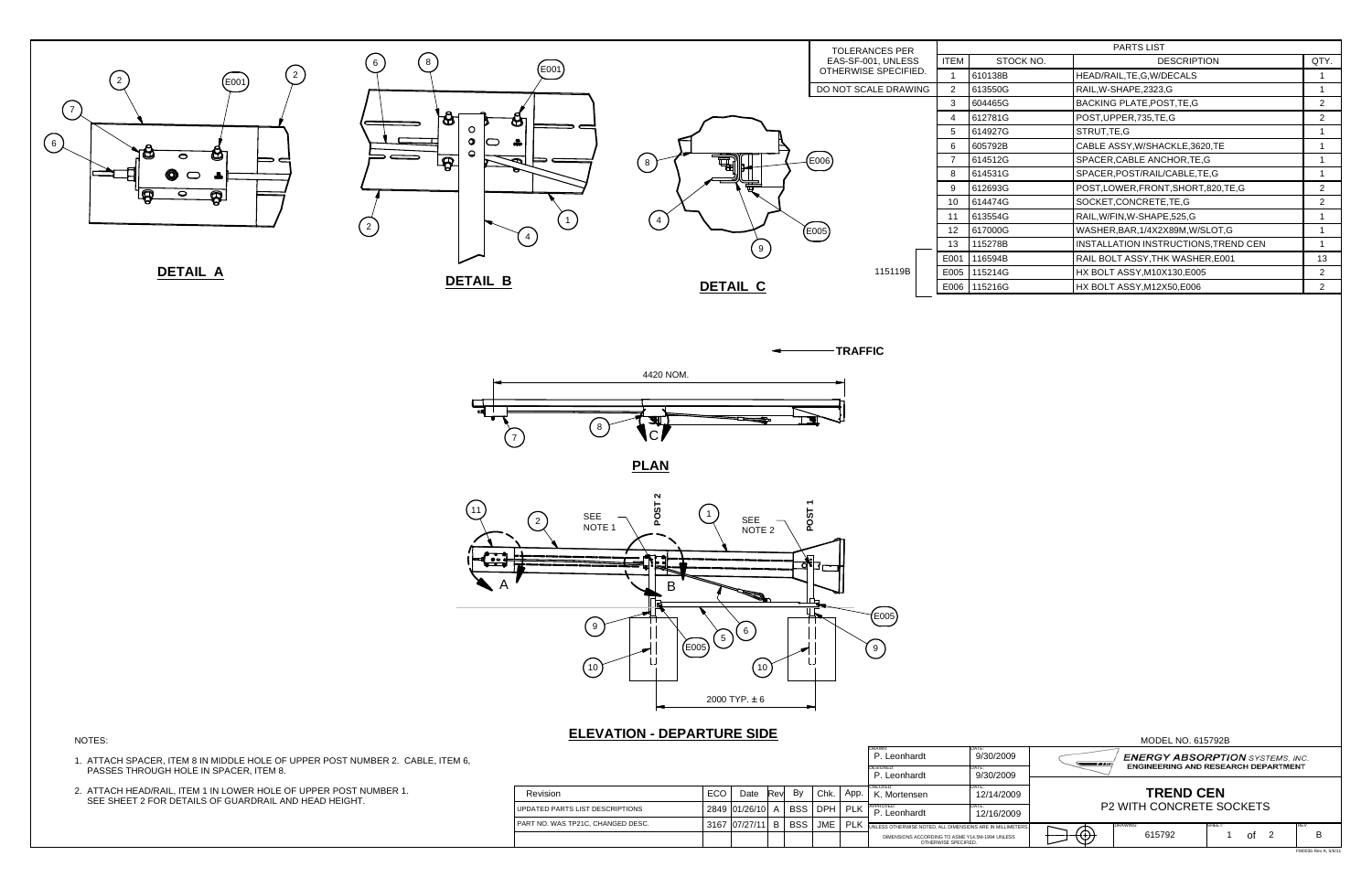## **ELEVATION - DEPARTURE SIDE**





FM0036 Rev A, 5/6/11

| <b>PARTS LIST</b> |           |                                      |                |  |  |  |
|-------------------|-----------|--------------------------------------|----------------|--|--|--|
| <b>ITEM</b>       | STOCK NO. | <b>DESCRIPTION</b>                   | QTY.           |  |  |  |
| 1                 | 610138B   | HEAD/RAIL, TE, G, W/DECALS           | 1              |  |  |  |
| 2                 | 613550G   | RAIL, W-SHAPE, 2323, G               | 1              |  |  |  |
| 3                 | 604465G   | <b>BACKING PLATE, POST, TE, G</b>    | 2              |  |  |  |
| 4                 | 612781G   | POST, UPPER, 735, TE, G              |                |  |  |  |
| 5                 | 614927G   | STRUT, TE, G                         | 1              |  |  |  |
| 6                 | 605792B   | CABLE ASSY, W/SHACKLE, 3620, TE      | 1              |  |  |  |
| 7                 | 614512G   | SPACER, CABLE ANCHOR, TE, G          |                |  |  |  |
| 8                 | 614531G   | SPACER, POST/RAIL/CABLE, TE, G       |                |  |  |  |
| 9                 | 612693G   | POST,LOWER,FRONT,SHORT,820,TE,G      | 2              |  |  |  |
| 10                | 614474G   | SOCKET, CONCRETE, TE, G              | 2              |  |  |  |
| 11                | 613554G   | RAIL, W/FIN, W-SHAPE, 525, G         | 1              |  |  |  |
| 12                | 617000G   | WASHER, BAR, 1/4X2X89M, W/SLOT, G    | 1              |  |  |  |
| 13                | 115278B   | INSTALLATION INSTRUCTIONS, TREND CEN | 1              |  |  |  |
| E001              | 116594B   | RAIL BOLT ASSY, THK WASHER, E001     | 13             |  |  |  |
| E005              | 115214G   | HX BOLT ASSY, M10X130, E005          | $\mathcal{P}$  |  |  |  |
| E006              | 115216G   | HX BOLT ASSY, M12X50, E006           | $\overline{2}$ |  |  |  |



|                                   |     |               |             |            |            |            | <b>IDRAWN:</b><br>P. Leonhardt                                          | IDATE:<br>9/30/2009 |
|-----------------------------------|-----|---------------|-------------|------------|------------|------------|-------------------------------------------------------------------------|---------------------|
|                                   |     |               |             |            |            |            | <b>DESIGNED:</b><br>P. Leonhardt                                        | DATE:<br>9/30/2009  |
| Revision                          | ECO | Date          | <b>Revl</b> | By         | Chk.       | App.       | CHECKED:<br>K. Mortensen                                                | DATE:<br>12/14/2009 |
| UPDATED PARTS LIST DESCRIPTIONS   |     | 2849 01/26/10 | A           | <b>BSS</b> | <b>DPH</b> | <b>PLK</b> | APPROVED:<br>P. Leonhardt                                               | DATE:<br>12/16/2009 |
| PART NO. WAS TP21C. CHANGED DESC. |     | 3167 07/27/11 | B           | <b>BSS</b> | <b>JME</b> | <b>PLK</b> | UNLESS OTHERWISE NOTED. ALL DIMENSIONS ARE IN MILLIMETE                 |                     |
|                                   |     |               |             |            |            |            | DIMENSIONS ACCORDING TO ASME Y14.5M-1994 UNLESS<br>OTHERWISE SPECIFIED. |                     |



## NOTES:

- 1. ATTACH SPACER, ITEM 8 IN MIDDLE HOLE OF UPPER POST NUMBER 2. CABLE, ITEM 6, PASSES THROUGH HOLE IN SPACER, ITEM 8.
- 2. ATTACH HEAD/RAIL, ITEM 1 IN LOWER HOLE OF UPPER POST NUMBER 1. SEE SHEET 2 FOR DETAILS OF GUARDRAIL AND HEAD HEIGHT.



**TRAFFIC**